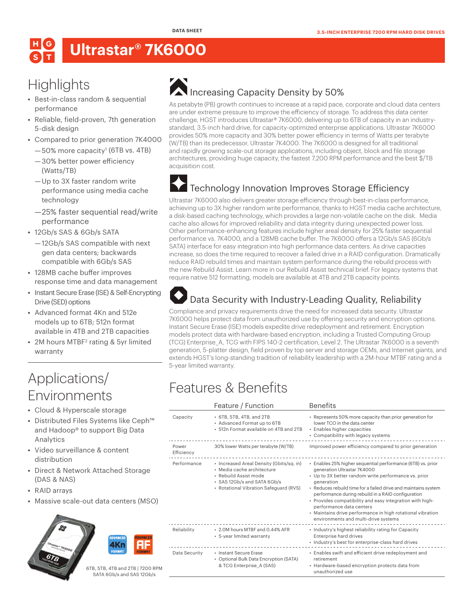# **Ultrastar® 7K6000**

## **Highlights**

- **•** Best-in-class random & sequential performance
- **•** Reliable, field-proven, 7th generation 5-disk design
- **•** Compared to prior generation 7K4000
	- $-50\%$  more capacity<sup>1</sup> (6TB vs. 4TB) —30% better power efficiency (Watts/TB)
	- —Up to 3X faster random write performance using media cache technology
	- —25% faster sequential read/write performance
- **•** 12Gb/s SAS & 6Gb/s SATA
	- —12Gb/s SAS compatible with next gen data centers; backwards compatible with 6Gb/s SAS
- **•** 128MB cache buffer improves response time and data management
- **•** Instant Secure Erase (ISE) & Self-Encrypting Drive (SED) options
- **•** Advanced format 4Kn and 512e models up to 6TB; 512n format available in 4TB and 2TB capacities
- 2M hours MTBF<sup>2</sup> rating & 5yr limited warranty

## Applications/ Environments

- **•** Cloud & Hyperscale storage
- **•** Distributed Files Systems like Ceph™ and Hadoop® to support Big Data Analytics
- **•** Video surveillance & content distribution
- **•** Direct & Network Attached Storage (DAS & NAS)
- **•** RAID arrays
- **•** Massive scale-out data centers (MSO)



6TB, 5TB, 4TB and 2TB | 7200 RPM SATA 6Gb/s and SAS 12Gb/s

# Increasing Capacity Density by 50%

As petabyte (PB) growth continues to increase at a rapid pace, corporate and cloud data centers are under extreme pressure to improve the efficiency of storage. To address this data center challenge, HGST introduces Ultrastar® 7K6000, delivering up to 6TB of capacity in an industrystandard, 3.5-inch hard drive, for capacity-optimized enterprise applications. Ultrastar 7K6000 provides 50% more capacity and 30% better power efficiency in terms of Watts per terabyte (W/TB) than its predecessor, Ultrastar 7K4000. The 7K6000 is designed for all traditional and rapidly growing scale-out storage applications, including object, block and file storage architectures, providing huge capacity, the fastest 7,200 RPM performance and the best \$/TB acquisition cost.

## Technology Innovation Improves Storage Efficiency

Ultrastar 7K6000 also delivers greater storage efficiency through best-in-class performance, achieving up to 3X higher random write performance, thanks to HGST media cache architecture, a disk-based caching technology, which provides a large non-volatile cache on the disk. Media cache also allows for improved reliability and data integrity during unexpected power loss. Other performance-enhancing features include higher areal density for 25% faster sequential performance vs. 7K4000, and a 128MB cache buffer. The 7K6000 offers a 12Gb/s SAS (6Gb/s SATA) interface for easy integration into high performance data centers. As drive capacities increase, so does the time required to recover a failed drive in a RAID configuration. Dramatically reduce RAID rebuild times and maintain system performance during the rebuild process with the new Rebuild Assist. Learn more in our Rebuild Assist technical brief. For legacy systems that require native 512 formatting, models are available at 4TB and 2TB capacity points.

#### Data Security with Industry-Leading Quality, Reliability

Compliance and privacy requirements drive the need for increased data security. Ultrastar 7K6000 helps protect data from unauthorized use by offering security and encryption options. Instant Secure Erase (ISE) models expedite drive redeployment and retirement. Encryption models protect data with hardware-based encryption, including a Trusted Computing Group (TCG) Enterprise\_A, TCG with FIPS 140-2 certification, Level 2. The Ultrastar 7K6000 is a seventh generation, 5-platter design, field proven by top server and storage OEMs, and Internet giants, and extends HGST's long-standing tradition of reliability leadership with a 2M-hour MTBF rating and a 5-year limited warranty.

## Features & Benefits

|                                                                                                                                                                          | <b>Benefits</b>                                                                                                                                                                                                                                                                                                                                                                                                                                                                        |
|--------------------------------------------------------------------------------------------------------------------------------------------------------------------------|----------------------------------------------------------------------------------------------------------------------------------------------------------------------------------------------------------------------------------------------------------------------------------------------------------------------------------------------------------------------------------------------------------------------------------------------------------------------------------------|
| • 6TB, 5TB, 4TB, and 2TB<br>• Advanced Format up to 6TB<br>• 512n Format available on 4TB and 2TB                                                                        | • Represents 50% more capacity than prior generation for<br>lower TCO in the data center<br>• Enables higher capacities<br>• Compatibility with legacy systems                                                                                                                                                                                                                                                                                                                         |
| 30% lower Watts per terabyte (W/TB)                                                                                                                                      | Improved power efficiency compared to prior generation                                                                                                                                                                                                                                                                                                                                                                                                                                 |
| • Increased Areal Density (Gbits/sq. in)<br>· Media cache architecture<br>· Rebuild Assist mode<br>• SAS 12Gb/s and SATA 6Gb/s<br>· Rotational Vibration Safeguard (RVS) | · Enables 25% higher sequential performance (6TB) vs. prior<br>generation Ultrastar 7K4000<br>• Up to 3X better random write performance vs. prior<br>generation<br>• Reduces rebuild time for a failed drive and maintains system<br>performance during rebuild in a RAID configuration<br>· Provides compatibility and easy integration with high-<br>performance data centers<br>• Maintains drive performance in high rotational vibration<br>environments and multi-drive systems |
| • 2.0M hours MTBF and 0.44% AFR<br>• 5-year limited warranty                                                                                                             | • Industry's highest reliability rating for Capacity<br>Enterprise hard drives<br>· Industry's best for enterprise-class hard drives                                                                                                                                                                                                                                                                                                                                                   |
| • Instant Secure Frase<br>• Optional Bulk Data Encryption (SATA)<br>& TCG Enterprise A (SAS)                                                                             | • Enables swift and efficient drive redeployment and<br>retirement<br>• Hardware-based encryption protects data from<br>unauthorized use                                                                                                                                                                                                                                                                                                                                               |
|                                                                                                                                                                          | Feature / Function                                                                                                                                                                                                                                                                                                                                                                                                                                                                     |